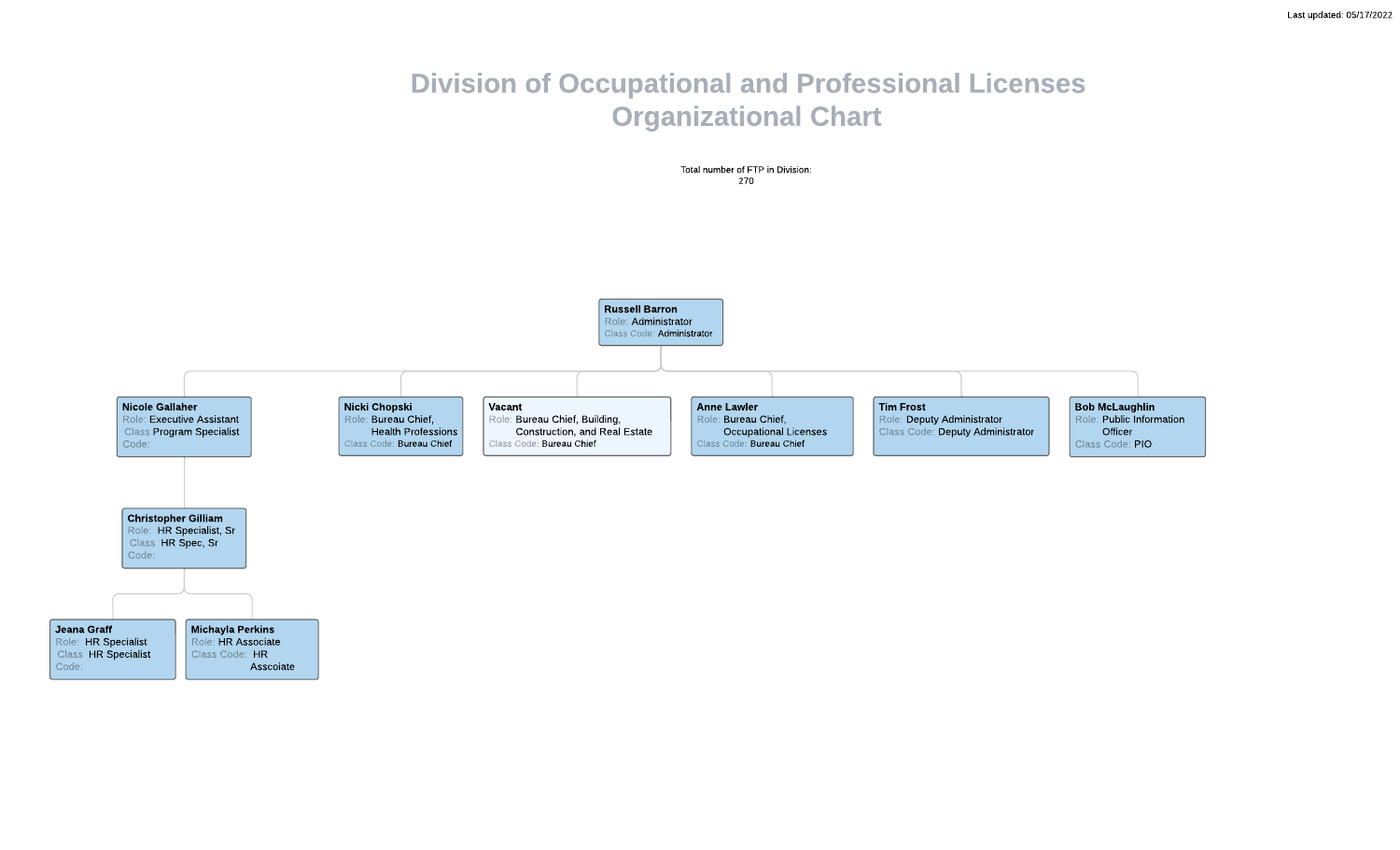## Division of Occupational and Professional Licenses Organizational Chart

Total number of FTP in Division: 270

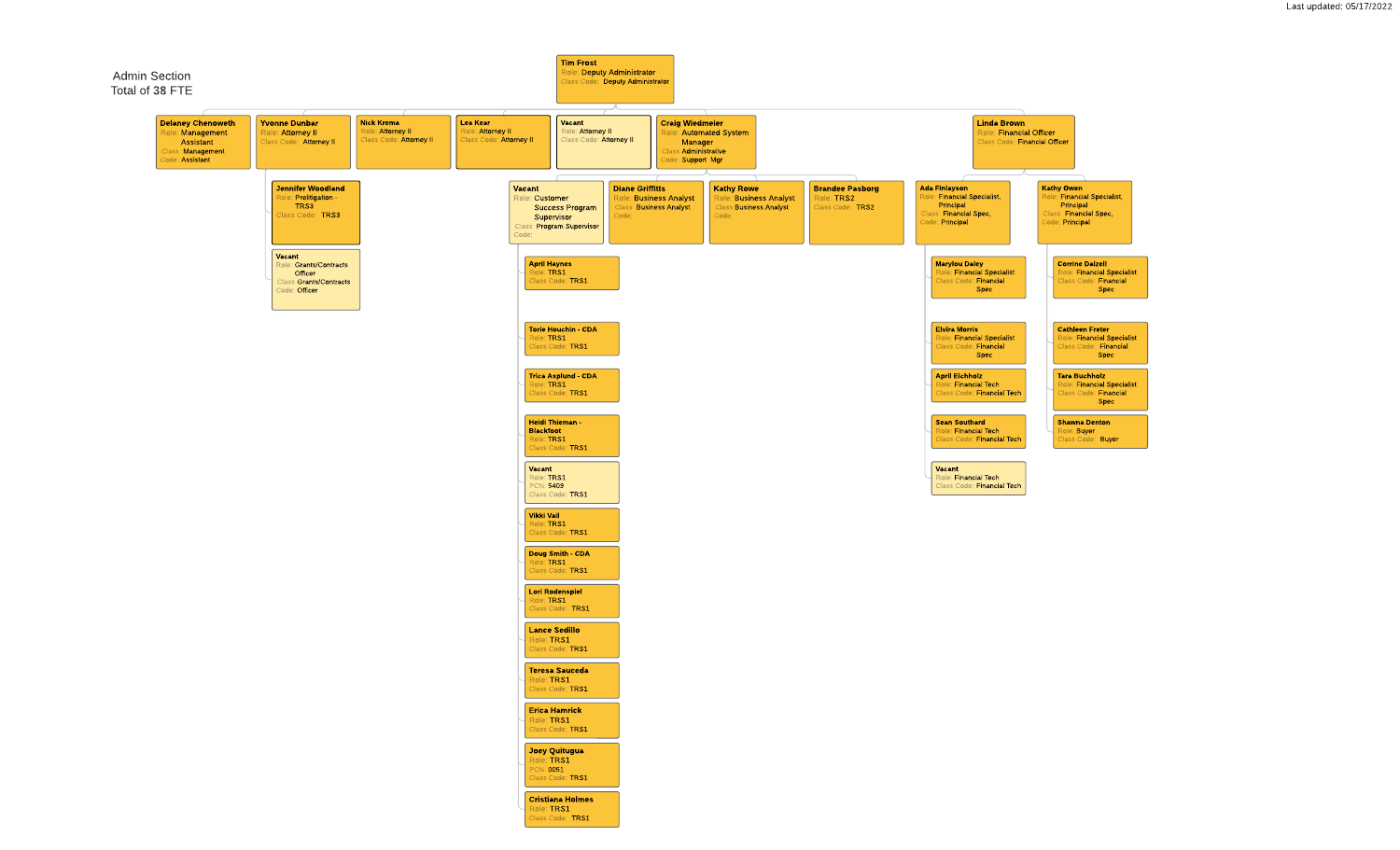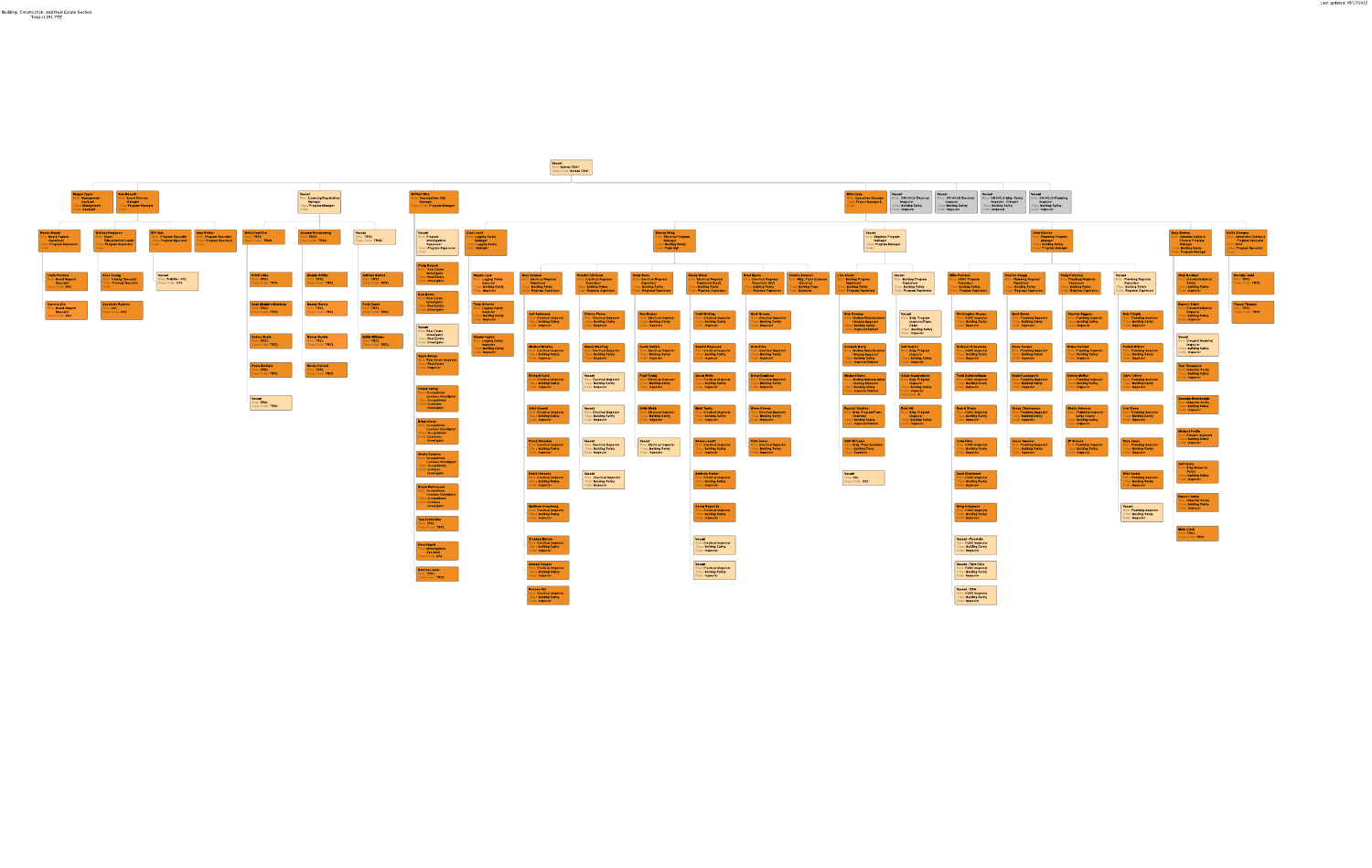Vacant Role: Class Code:

Bureau Chief

Bureau Chief

and the property on Bassett **Ma** Megan Taylor Vacant Role: **Management** Role: Board Services Role: Licensing/Registration Assistant **Manager Manager** Class I **Management** Class **F** Program Manager Class **F** Program Manager Code: **Assistant** Code: Code: Bill Hale Amy Kohler Renee Bryant issa Ferguson Molly Hamilton Jesama Rosensweig Role: Board Support Role: Exam Role: Program Specialist Role: Program Specialist Role: TRS3 Role: TRS3 **Supervisor** Education/Curriculum Class F Program Specialist Class F Program Specialist Class Code: TRS3 Class Code: TRS3 Class **F** Program Supervisor Class **F** Program Supervisor Code: Code: Code: Code: Vacant Linda Pratzner Alice Young Kristi Little Wendy Griffin Role: Board Support Role: Training Specialist Role: PHMSA - OS2 Role: TRS2 Role: TRS2 **Specialist** Class<sub>1</sub> Training Specialist Class Code: OS2 Class Code: TRS2 Class Code: TRS2 Class Code: AA2 Code: Saychelle Roberts Vada Manhire-Mendoza Carlotta Zito Manny Garcia Role: Board Support Role: AA1 Role: TRS2 Role: TRS2 **Specialist** Class Code: AA1 Class Code: TRS2 Class Code: TRS2 Class Code: AA2 Ashlee Boyle Raven Machie Role: TRS2 Role: TRS2 Class Code: TRS2 Class Code: TRS2 Paula Baldwin Nicole Ferretti Role: TRS2 Role: TRS2 Class Code: TRS2 Class Code: TRS2

> Vacant Role: Class Code: TRS2

TRS2



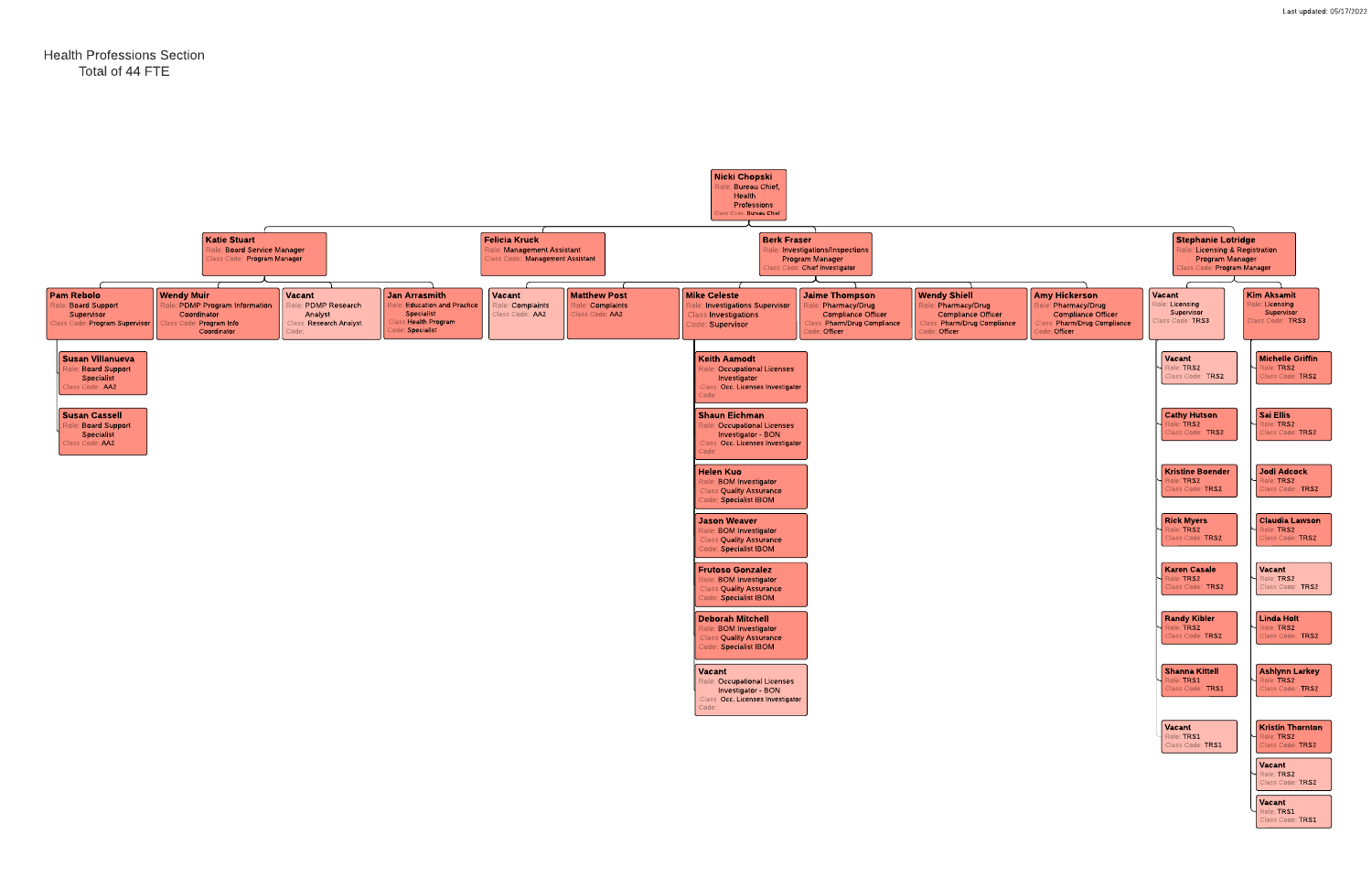